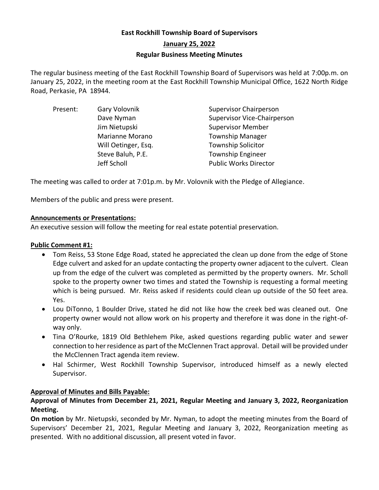# **East Rockhill Township Board of Supervisors January 25, 2022 Regular Business Meeting Minutes**

The regular business meeting of the East Rockhill Township Board of Supervisors was held at 7:00p.m. on January 25, 2022, in the meeting room at the East Rockhill Township Municipal Office, 1622 North Ridge Road, Perkasie, PA 18944.

| Present: | Gary Volovnik       | <b>Supervisor Chairperson</b>      |
|----------|---------------------|------------------------------------|
|          | Dave Nyman          | <b>Supervisor Vice-Chairperson</b> |
|          | Jim Nietupski       | <b>Supervisor Member</b>           |
|          | Marianne Morano     | <b>Township Manager</b>            |
|          | Will Oetinger, Esq. | <b>Township Solicitor</b>          |
|          | Steve Baluh, P.E.   | <b>Township Engineer</b>           |
|          | Jeff Scholl         | <b>Public Works Director</b>       |

The meeting was called to order at 7:01p.m. by Mr. Volovnik with the Pledge of Allegiance.

Members of the public and press were present.

# **Announcements or Presentations:**

An executive session will follow the meeting for real estate potential preservation.

# **Public Comment #1:**

- Tom Reiss, 53 Stone Edge Road, stated he appreciated the clean up done from the edge of Stone Edge culvert and asked for an update contacting the property owner adjacent to the culvert. Clean up from the edge of the culvert was completed as permitted by the property owners. Mr. Scholl spoke to the property owner two times and stated the Township is requesting a formal meeting which is being pursued. Mr. Reiss asked if residents could clean up outside of the 50 feet area. Yes.
- Lou DiTonno, 1 Boulder Drive, stated he did not like how the creek bed was cleaned out. One property owner would not allow work on his property and therefore it was done in the right-ofway only.
- Tina O'Rourke, 1819 Old Bethlehem Pike, asked questions regarding public water and sewer connection to her residence as part of the McClennen Tract approval. Detail will be provided under the McClennen Tract agenda item review.
- Hal Schirmer, West Rockhill Township Supervisor, introduced himself as a newly elected Supervisor.

# **Approval of Minutes and Bills Payable:**

# **Approval of Minutes from December 21, 2021, Regular Meeting and January 3, 2022, Reorganization Meeting.**

**On motion** by Mr. Nietupski, seconded by Mr. Nyman, to adopt the meeting minutes from the Board of Supervisors' December 21, 2021, Regular Meeting and January 3, 2022, Reorganization meeting as presented. With no additional discussion, all present voted in favor.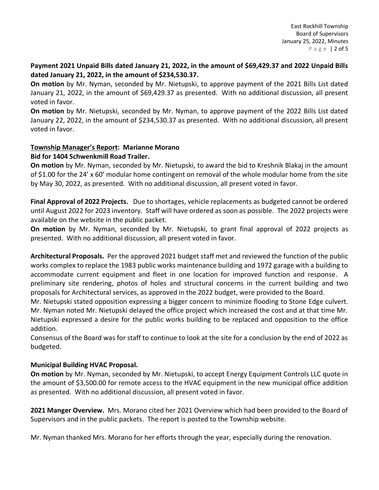#### **Payment 2021 Unpaid Bills dated January 21, 2022, in the amount of \$69,429.37 and 2022 Unpaid Bills dated January 21, 2022, in the amount of \$234,530.37.**

**On motion** by Mr. Nyman, seconded by Mr. Nietupski, to approve payment of the 2021 Bills List dated January 21, 2022, in the amount of \$69,429.37 as presented. With no additional discussion, all present voted in favor.

**On motion** by Mr. Nietupski, seconded by Mr. Nyman, to approve payment of the 2022 Bills List dated January 22, 2022, in the amount of \$234,530.37 as presented. With no additional discussion, all present voted in favor.

### **Township Manager's Report: Marianne Morano Bid for 1404 Schwenkmill Road Trailer.**

**On motion** by Mr. Nyman, seconded by Mr. Nietupski, to award the bid to Kreshnik Blakaj in the amount of \$1.00 for the 24' x 60' modular home contingent on removal of the whole modular home from the site by May 30, 2022, as presented. With no additional discussion, all present voted in favor.

**Final Approval of 2022 Projects.** Due to shortages, vehicle replacements as budgeted cannot be ordered until August 2022 for 2023 inventory. Staff will have ordered as soon as possible. The 2022 projects were available on the website in the public packet.

**On motion** by Mr. Nyman, seconded by Mr. Nietupski, to grant final approval of 2022 projects as presented. With no additional discussion, all present voted in favor.

**Architectural Proposals.** Per the approved 2021 budget staff met and reviewed the function of the public works complex to replace the 1983 public works maintenance building and 1972 garage with a building to accommodate current equipment and fleet in one location for improved function and response. A preliminary site rendering, photos of holes and structural concerns in the current building and two proposals for Architectural services, as approved in the 2022 budget, were provided to the Board.

Mr. Nietupski stated opposition expressing a bigger concern to minimize flooding to Stone Edge culvert. Mr. Nyman noted Mr. Nietupski delayed the office project which increased the cost and at that time Mr. Nietupski expressed a desire for the public works building to be replaced and opposition to the office addition.

Consensus of the Board was for staff to continue to look at the site for a conclusion by the end of 2022 as budgeted.

# **Municipal Building HVAC Proposal.**

**On motion** by Mr. Nyman, seconded by Mr. Nietupski, to accept Energy Equipment Controls LLC quote in the amount of \$3,500.00 for remote access to the HVAC equipment in the new municipal office addition as presented. With no additional discussion, all present voted in favor.

**2021 Manger Overview.** Mrs. Morano cited her 2021 Overview which had been provided to the Board of Supervisors and in the public packets. The report is posted to the Township website.

Mr. Nyman thanked Mrs. Morano for her efforts through the year, especially during the renovation.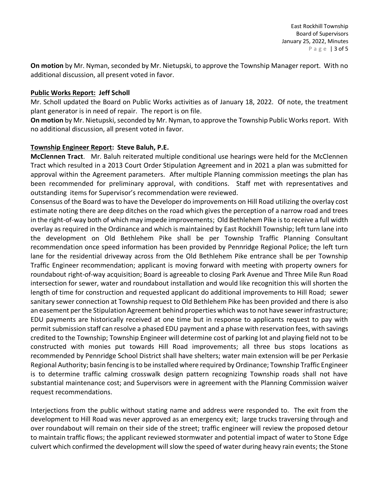**On motion** by Mr. Nyman, seconded by Mr. Nietupski, to approve the Township Manager report. With no additional discussion, all present voted in favor.

#### **Public Works Report: Jeff Scholl**

Mr. Scholl updated the Board on Public Works activities as of January 18, 2022. Of note, the treatment plant generator is in need of repair. The report is on file.

**On motion** by Mr. Nietupski, seconded by Mr. Nyman, to approve the Township Public Works report. With no additional discussion, all present voted in favor.

#### **Township Engineer Report: Steve Baluh, P.E.**

**McClennen Tract**. Mr. Baluh reiterated multiple conditional use hearings were held for the McClennen Tract which resulted in a 2013 Court Order Stipulation Agreement and in 2021 a plan was submitted for approval within the Agreement parameters. After multiple Planning commission meetings the plan has been recommended for preliminary approval, with conditions. Staff met with representatives and outstanding items for Supervisor's recommendation were reviewed.

Consensus of the Board was to have the Developer do improvements on Hill Road utilizing the overlay cost estimate noting there are deep ditches on the road which gives the perception of a narrow road and trees in the right-of-way both of which may impede improvements; Old Bethlehem Pike is to receive a full width overlay as required in the Ordinance and which is maintained by East Rockhill Township; left turn lane into the development on Old Bethlehem Pike shall be per Township Traffic Planning Consultant recommendation once speed information has been provided by Pennridge Regional Police; the left turn lane for the residential driveway across from the Old Bethlehem Pike entrance shall be per Township Traffic Engineer recommendation; applicant is moving forward with meeting with property owners for roundabout right-of-way acquisition; Board is agreeable to closing Park Avenue and Three Mile Run Road intersection for sewer, water and roundabout installation and would like recognition this will shorten the length of time for construction and requested applicant do additional improvements to Hill Road; sewer sanitary sewer connection at Township request to Old Bethlehem Pike has been provided and there is also an easement per the Stipulation Agreement behind properties which was to not have sewer infrastructure; EDU payments are historically received at one time but in response to applicants request to pay with permit submission staff can resolve a phased EDU payment and a phase with reservation fees, with savings credited to the Township; Township Engineer will determine cost of parking lot and playing field not to be constructed with monies put towards Hill Road improvements; all three bus stops locations as recommended by Pennridge School District shall have shelters; water main extension will be per Perkasie Regional Authority; basin fencing is to be installed where required by Ordinance; Township Traffic Engineer is to determine traffic calming crosswalk design pattern recognizing Township roads shall not have substantial maintenance cost; and Supervisors were in agreement with the Planning Commission waiver request recommendations.

Interjections from the public without stating name and address were responded to. The exit from the development to Hill Road was never approved as an emergency exit; large trucks traversing through and over roundabout will remain on their side of the street; traffic engineer will review the proposed detour to maintain traffic flows; the applicant reviewed stormwater and potential impact of water to Stone Edge culvert which confirmed the development will slow the speed of water during heavy rain events; the Stone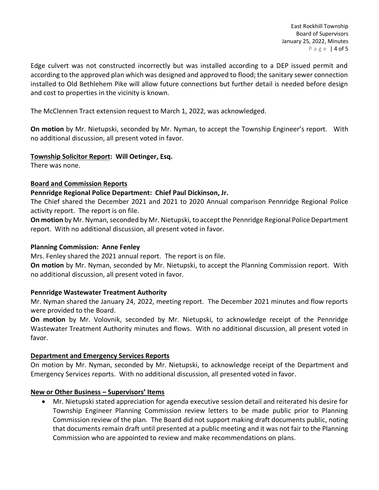Edge culvert was not constructed incorrectly but was installed according to a DEP issued permit and according to the approved plan which was designed and approved to flood; the sanitary sewer connection installed to Old Bethlehem Pike will allow future connections but further detail is needed before design and cost to properties in the vicinity is known.

The McClennen Tract extension request to March 1, 2022, was acknowledged.

**On motion** by Mr. Nietupski, seconded by Mr. Nyman, to accept the Township Engineer's report. With no additional discussion, all present voted in favor.

#### **Township Solicitor Report: Will Oetinger, Esq.**

There was none.

#### **Board and Commission Reports**

#### **Pennridge Regional Police Department: Chief Paul Dickinson, Jr.**

The Chief shared the December 2021 and 2021 to 2020 Annual comparison Pennridge Regional Police activity report. The report is on file.

**On motion** by Mr. Nyman, seconded by Mr. Nietupski, to accept the Pennridge Regional Police Department report. With no additional discussion, all present voted in favor.

#### **Planning Commission: Anne Fenley**

Mrs. Fenley shared the 2021 annual report. The report is on file.

**On motion** by Mr. Nyman, seconded by Mr. Nietupski, to accept the Planning Commission report. With no additional discussion, all present voted in favor.

# **Pennridge Wastewater Treatment Authority**

Mr. Nyman shared the January 24, 2022, meeting report. The December 2021 minutes and flow reports were provided to the Board.

**On motion** by Mr. Volovnik, seconded by Mr. Nietupski, to acknowledge receipt of the Pennridge Wastewater Treatment Authority minutes and flows. With no additional discussion, all present voted in favor.

# **Department and Emergency Services Reports**

On motion by Mr. Nyman, seconded by Mr. Nietupski, to acknowledge receipt of the Department and Emergency Services reports. With no additional discussion, all presented voted in favor.

#### **New or Other Business – Supervisors' Items**

• Mr. Nietupski stated appreciation for agenda executive session detail and reiterated his desire for Township Engineer Planning Commission review letters to be made public prior to Planning Commission review of the plan. The Board did not support making draft documents public, noting that documents remain draft until presented at a public meeting and it was not fair to the Planning Commission who are appointed to review and make recommendations on plans.